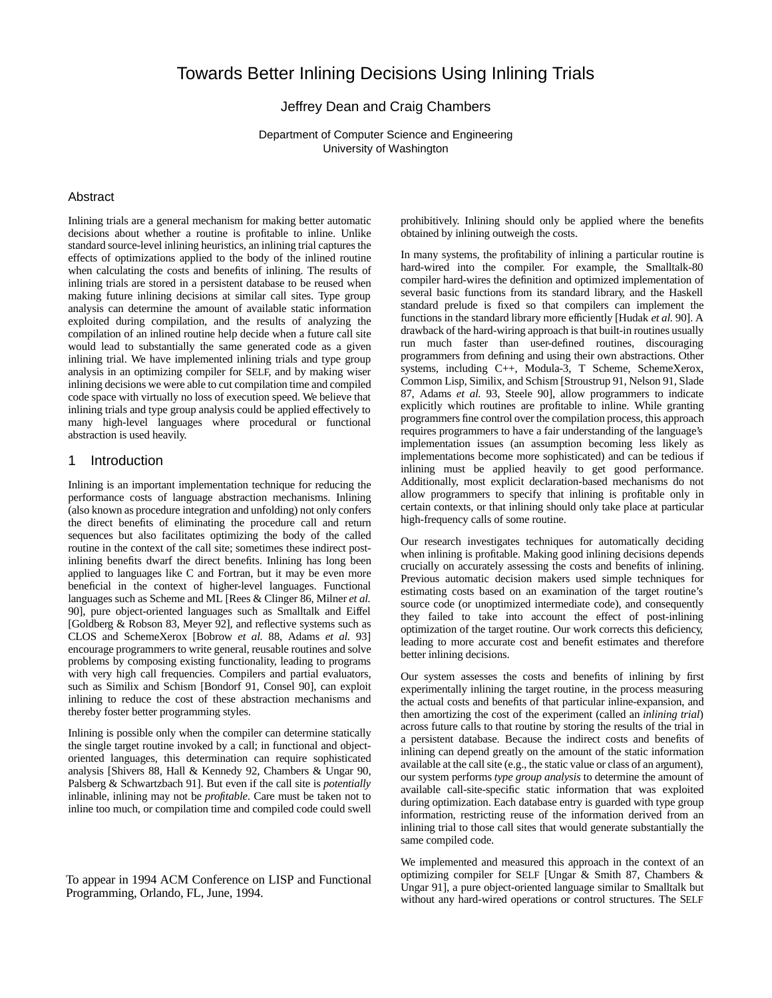# Towards Better Inlining Decisions Using Inlining Trials

### Jeffrey Dean and Craig Chambers

Department of Computer Science and Engineering University of Washington

#### **Abstract**

Inlining trials are a general mechanism for making better automatic decisions about whether a routine is profitable to inline. Unlike standard source-level inlining heuristics, an inlining trial captures the effects of optimizations applied to the body of the inlined routine when calculating the costs and benefits of inlining. The results of inlining trials are stored in a persistent database to be reused when making future inlining decisions at similar call sites. Type group analysis can determine the amount of available static information exploited during compilation, and the results of analyzing the compilation of an inlined routine help decide when a future call site would lead to substantially the same generated code as a given inlining trial. We have implemented inlining trials and type group analysis in an optimizing compiler for SELF, and by making wiser inlining decisions we were able to cut compilation time and compiled code space with virtually no loss of execution speed. We believe that inlining trials and type group analysis could be applied effectively to many high-level languages where procedural or functional abstraction is used heavily.

#### 1 Introduction

Inlining is an important implementation technique for reducing the performance costs of language abstraction mechanisms. Inlining (also known as procedure integration and unfolding) not only confers the direct benefits of eliminating the procedure call and return sequences but also facilitates optimizing the body of the called routine in the context of the call site; sometimes these indirect postinlining benefits dwarf the direct benefits. Inlining has long been applied to languages like C and Fortran, but it may be even more beneficial in the context of higher-level languages. Functional languages such as Scheme and ML [Rees & Clinger 86, Milner *et al.* 90], pure object-oriented languages such as Smalltalk and Eiffel [Goldberg & Robson 83, Meyer 92], and reflective systems such as CLOS and SchemeXerox [Bobrow *et al.* 88, Adams *et al.* 93] encourage programmers to write general, reusable routines and solve problems by composing existing functionality, leading to programs with very high call frequencies. Compilers and partial evaluators, such as Similix and Schism [Bondorf 91, Consel 90], can exploit inlining to reduce the cost of these abstraction mechanisms and thereby foster better programming styles.

Inlining is possible only when the compiler can determine statically the single target routine invoked by a call; in functional and objectoriented languages, this determination can require sophisticated analysis [Shivers 88, Hall & Kennedy 92, Chambers & Ungar 90, Palsberg & Schwartzbach 91]. But even if the call site is *potentially* inlinable, inlining may not be *profitable*. Care must be taken not to inline too much, or compilation time and compiled code could swell

To appear in 1994 ACM Conference on LISP and Functional Programming, Orlando, FL, June, 1994.

prohibitively. Inlining should only be applied where the benefits obtained by inlining outweigh the costs.

In many systems, the profitability of inlining a particular routine is hard-wired into the compiler. For example, the Smalltalk-80 compiler hard-wires the definition and optimized implementation of several basic functions from its standard library, and the Haskell standard prelude is fixed so that compilers can implement the functions in the standard library more efficiently [Hudak *et al.* 90]. A drawback of the hard-wiring approach is that built-in routines usually run much faster than user-defined routines, discouraging programmers from defining and using their own abstractions. Other systems, including C++, Modula-3, T Scheme, SchemeXerox, Common Lisp, Similix, and Schism [Stroustrup 91, Nelson 91, Slade 87, Adams *et al.* 93, Steele 90], allow programmers to indicate explicitly which routines are profitable to inline. While granting programmers fine control over the compilation process, this approach requires programmers to have a fair understanding of the language's implementation issues (an assumption becoming less likely as implementations become more sophisticated) and can be tedious if inlining must be applied heavily to get good performance. Additionally, most explicit declaration-based mechanisms do not allow programmers to specify that inlining is profitable only in certain contexts, or that inlining should only take place at particular high-frequency calls of some routine.

Our research investigates techniques for automatically deciding when inlining is profitable. Making good inlining decisions depends crucially on accurately assessing the costs and benefits of inlining. Previous automatic decision makers used simple techniques for estimating costs based on an examination of the target routine's source code (or unoptimized intermediate code), and consequently they failed to take into account the effect of post-inlining optimization of the target routine. Our work corrects this deficiency, leading to more accurate cost and benefit estimates and therefore better inlining decisions.

Our system assesses the costs and benefits of inlining by first experimentally inlining the target routine, in the process measuring the actual costs and benefits of that particular inline-expansion, and then amortizing the cost of the experiment (called an *inlining trial*) across future calls to that routine by storing the results of the trial in a persistent database. Because the indirect costs and benefits of inlining can depend greatly on the amount of the static information available at the call site (e.g., the static value or class of an argument), our system performs *type group analysis* to determine the amount of available call-site-specific static information that was exploited during optimization. Each database entry is guarded with type group information, restricting reuse of the information derived from an inlining trial to those call sites that would generate substantially the same compiled code.

We implemented and measured this approach in the context of an optimizing compiler for SELF [Ungar & Smith 87, Chambers & Ungar 91], a pure object-oriented language similar to Smalltalk but without any hard-wired operations or control structures. The SELF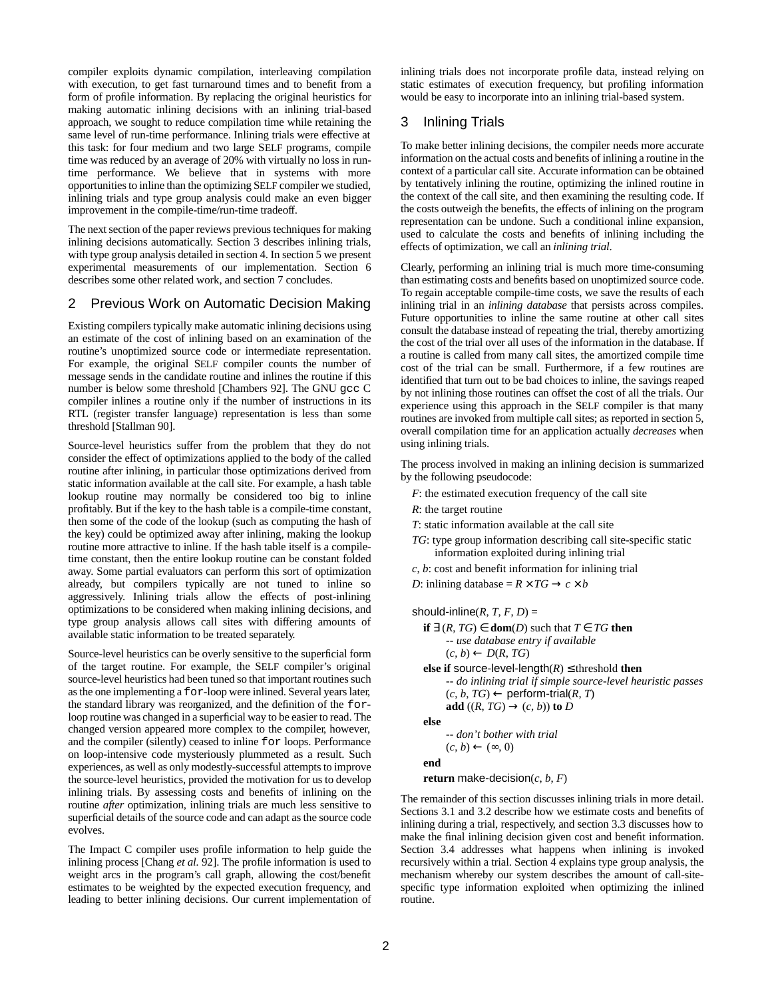compiler exploits dynamic compilation, interleaving compilation with execution, to get fast turnaround times and to benefit from a form of profile information. By replacing the original heuristics for making automatic inlining decisions with an inlining trial-based approach, we sought to reduce compilation time while retaining the same level of run-time performance. Inlining trials were effective at this task: for four medium and two large SELF programs, compile time was reduced by an average of 20% with virtually no loss in runtime performance. We believe that in systems with more opportunities to inline than the optimizing SELF compiler we studied, inlining trials and type group analysis could make an even bigger improvement in the compile-time/run-time tradeoff.

The next section of the paper reviews previous techniques for making inlining decisions automatically. Section 3 describes inlining trials, with type group analysis detailed in section 4. In section 5 we present experimental measurements of our implementation. Section 6 describes some other related work, and section 7 concludes.

### 2 Previous Work on Automatic Decision Making

Existing compilers typically make automatic inlining decisions using an estimate of the cost of inlining based on an examination of the routine's unoptimized source code or intermediate representation. For example, the original SELF compiler counts the number of message sends in the candidate routine and inlines the routine if this number is below some threshold [Chambers 92]. The GNU gcc C compiler inlines a routine only if the number of instructions in its RTL (register transfer language) representation is less than some threshold [Stallman 90].

Source-level heuristics suffer from the problem that they do not consider the effect of optimizations applied to the body of the called routine after inlining, in particular those optimizations derived from static information available at the call site. For example, a hash table lookup routine may normally be considered too big to inline profitably. But if the key to the hash table is a compile-time constant, then some of the code of the lookup (such as computing the hash of the key) could be optimized away after inlining, making the lookup routine more attractive to inline. If the hash table itself is a compiletime constant, then the entire lookup routine can be constant folded away. Some partial evaluators can perform this sort of optimization already, but compilers typically are not tuned to inline so aggressively. Inlining trials allow the effects of post-inlining optimizations to be considered when making inlining decisions, and type group analysis allows call sites with differing amounts of available static information to be treated separately.

Source-level heuristics can be overly sensitive to the superficial form of the target routine. For example, the SELF compiler's original source-level heuristics had been tuned so that important routines such as the one implementing a for-loop were inlined. Several years later, the standard library was reorganized, and the definition of the forloop routine was changed in a superficial way to be easier to read. The changed version appeared more complex to the compiler, however, and the compiler (silently) ceased to inline for loops. Performance on loop-intensive code mysteriously plummeted as a result. Such experiences, as well as only modestly-successful attempts to improve the source-level heuristics, provided the motivation for us to develop inlining trials. By assessing costs and benefits of inlining on the routine *after* optimization, inlining trials are much less sensitive to superficial details of the source code and can adapt as the source code evolves.

The Impact C compiler uses profile information to help guide the inlining process [Chang *et al.* 92]. The profile information is used to weight arcs in the program's call graph, allowing the cost/benefit estimates to be weighted by the expected execution frequency, and leading to better inlining decisions. Our current implementation of inlining trials does not incorporate profile data, instead relying on static estimates of execution frequency, but profiling information would be easy to incorporate into an inlining trial-based system.

### 3 Inlining Trials

To make better inlining decisions, the compiler needs more accurate information on the actual costs and benefits of inlining a routine in the context of a particular call site. Accurate information can be obtained by tentatively inlining the routine, optimizing the inlined routine in the context of the call site, and then examining the resulting code. If the costs outweigh the benefits, the effects of inlining on the program representation can be undone. Such a conditional inline expansion, used to calculate the costs and benefits of inlining including the effects of optimization, we call an *inlining trial*.

Clearly, performing an inlining trial is much more time-consuming than estimating costs and benefits based on unoptimized source code. To regain acceptable compile-time costs, we save the results of each inlining trial in an *inlining database* that persists across compiles. Future opportunities to inline the same routine at other call sites consult the database instead of repeating the trial, thereby amortizing the cost of the trial over all uses of the information in the database. If a routine is called from many call sites, the amortized compile time cost of the trial can be small. Furthermore, if a few routines are identified that turn out to be bad choices to inline, the savings reaped by not inlining those routines can offset the cost of all the trials. Our experience using this approach in the SELF compiler is that many routines are invoked from multiple call sites; as reported in section 5, overall compilation time for an application actually *decreases* when using inlining trials.

The process involved in making an inlining decision is summarized by the following pseudocode:

- *F*: the estimated execution frequency of the call site
- *R*: the target routine
- *T*: static information available at the call site
- *TG*: type group information describing call site-specific static information exploited during inlining trial
- *c*, *b*: cost and benefit information for inlining trial
- *D*: inlining database =  $R \times TG \rightarrow c \times b$

should-inline(*R*,  $T$ ,  $F$ ,  $D$ ) =

- **if**  $\exists$  (*R*, *TG*) ∈ **dom**(*D*) such that *T* ∈ *TG* **then** *-- use database entry if available*  $(c, b) \leftarrow D(R, TG)$ **else if** source-level-length $(R) \leq$  threshold **then** 
	- *-- do inlining trial if simple source-level heuristic passes*  $(c, b, TG) \leftarrow$  perform-trial $(R, T)$ **add**  $((R, TG) \rightarrow (c, b))$  **to** *D*

**else**

*-- don't bother with trial*  $(c, b) \leftarrow (\infty, 0)$ 

**end**

**return** make-decision( $c, b, F$ )

The remainder of this section discusses inlining trials in more detail. Sections 3.1 and 3.2 describe how we estimate costs and benefits of inlining during a trial, respectively, and section 3.3 discusses how to make the final inlining decision given cost and benefit information. Section 3.4 addresses what happens when inlining is invoked recursively within a trial. Section 4 explains type group analysis, the mechanism whereby our system describes the amount of call-sitespecific type information exploited when optimizing the inlined routine.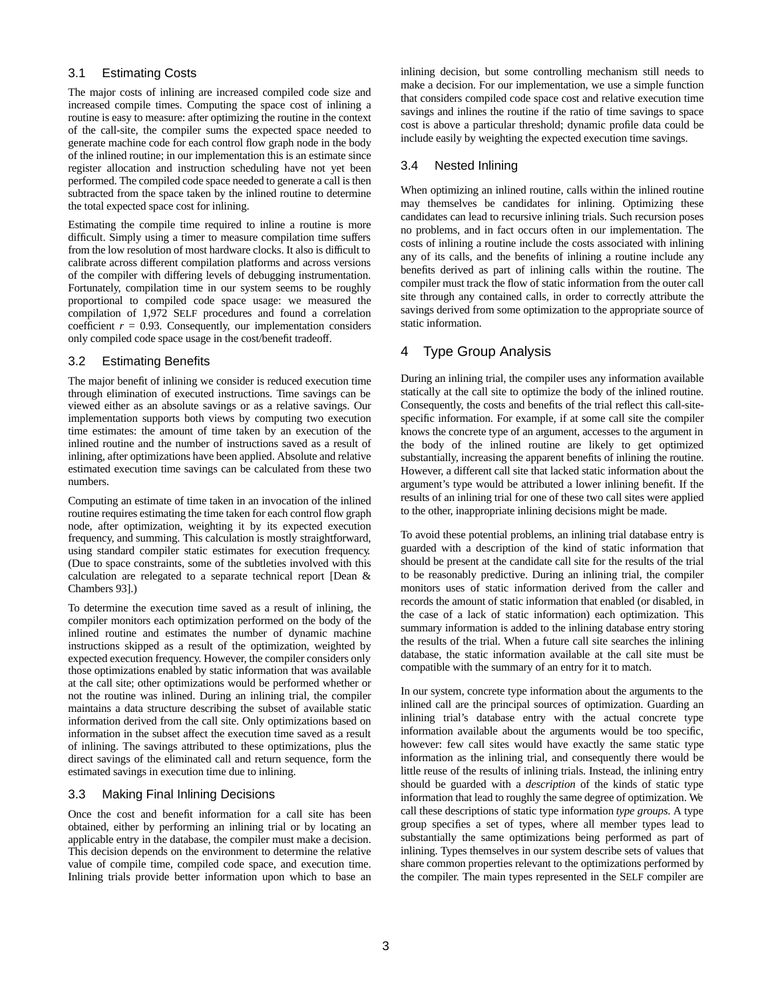### 3.1 Estimating Costs

The major costs of inlining are increased compiled code size and increased compile times. Computing the space cost of inlining a routine is easy to measure: after optimizing the routine in the context of the call-site, the compiler sums the expected space needed to generate machine code for each control flow graph node in the body of the inlined routine; in our implementation this is an estimate since register allocation and instruction scheduling have not yet been performed. The compiled code space needed to generate a call is then subtracted from the space taken by the inlined routine to determine the total expected space cost for inlining.

Estimating the compile time required to inline a routine is more difficult. Simply using a timer to measure compilation time suffers from the low resolution of most hardware clocks. It also is difficult to calibrate across different compilation platforms and across versions of the compiler with differing levels of debugging instrumentation. Fortunately, compilation time in our system seems to be roughly proportional to compiled code space usage: we measured the compilation of 1,972 SELF procedures and found a correlation coefficient  $r = 0.93$ . Consequently, our implementation considers only compiled code space usage in the cost/benefit tradeoff.

### 3.2 Estimating Benefits

The major benefit of inlining we consider is reduced execution time through elimination of executed instructions. Time savings can be viewed either as an absolute savings or as a relative savings. Our implementation supports both views by computing two execution time estimates: the amount of time taken by an execution of the inlined routine and the number of instructions saved as a result of inlining, after optimizations have been applied. Absolute and relative estimated execution time savings can be calculated from these two numbers.

Computing an estimate of time taken in an invocation of the inlined routine requires estimating the time taken for each control flow graph node, after optimization, weighting it by its expected execution frequency, and summing. This calculation is mostly straightforward, using standard compiler static estimates for execution frequency. (Due to space constraints, some of the subtleties involved with this calculation are relegated to a separate technical report [Dean & Chambers 93].)

To determine the execution time saved as a result of inlining, the compiler monitors each optimization performed on the body of the inlined routine and estimates the number of dynamic machine instructions skipped as a result of the optimization, weighted by expected execution frequency. However, the compiler considers only those optimizations enabled by static information that was available at the call site; other optimizations would be performed whether or not the routine was inlined. During an inlining trial, the compiler maintains a data structure describing the subset of available static information derived from the call site. Only optimizations based on information in the subset affect the execution time saved as a result of inlining. The savings attributed to these optimizations, plus the direct savings of the eliminated call and return sequence, form the estimated savings in execution time due to inlining.

### 3.3 Making Final Inlining Decisions

Once the cost and benefit information for a call site has been obtained, either by performing an inlining trial or by locating an applicable entry in the database, the compiler must make a decision. This decision depends on the environment to determine the relative value of compile time, compiled code space, and execution time. Inlining trials provide better information upon which to base an inlining decision, but some controlling mechanism still needs to make a decision. For our implementation, we use a simple function that considers compiled code space cost and relative execution time savings and inlines the routine if the ratio of time savings to space cost is above a particular threshold; dynamic profile data could be include easily by weighting the expected execution time savings.

### 3.4 Nested Inlining

When optimizing an inlined routine, calls within the inlined routine may themselves be candidates for inlining. Optimizing these candidates can lead to recursive inlining trials. Such recursion poses no problems, and in fact occurs often in our implementation. The costs of inlining a routine include the costs associated with inlining any of its calls, and the benefits of inlining a routine include any benefits derived as part of inlining calls within the routine. The compiler must track the flow of static information from the outer call site through any contained calls, in order to correctly attribute the savings derived from some optimization to the appropriate source of static information.

## 4 Type Group Analysis

During an inlining trial, the compiler uses any information available statically at the call site to optimize the body of the inlined routine. Consequently, the costs and benefits of the trial reflect this call-sitespecific information. For example, if at some call site the compiler knows the concrete type of an argument, accesses to the argument in the body of the inlined routine are likely to get optimized substantially, increasing the apparent benefits of inlining the routine. However, a different call site that lacked static information about the argument's type would be attributed a lower inlining benefit. If the results of an inlining trial for one of these two call sites were applied to the other, inappropriate inlining decisions might be made.

To avoid these potential problems, an inlining trial database entry is guarded with a description of the kind of static information that should be present at the candidate call site for the results of the trial to be reasonably predictive. During an inlining trial, the compiler monitors uses of static information derived from the caller and records the amount of static information that enabled (or disabled, in the case of a lack of static information) each optimization. This summary information is added to the inlining database entry storing the results of the trial. When a future call site searches the inlining database, the static information available at the call site must be compatible with the summary of an entry for it to match.

In our system, concrete type information about the arguments to the inlined call are the principal sources of optimization. Guarding an inlining trial's database entry with the actual concrete type information available about the arguments would be too specific, however: few call sites would have exactly the same static type information as the inlining trial, and consequently there would be little reuse of the results of inlining trials. Instead, the inlining entry should be guarded with a *description* of the kinds of static type information that lead to roughly the same degree of optimization. We call these descriptions of static type information *type groups*. A type group specifies a set of types, where all member types lead to substantially the same optimizations being performed as part of inlining. Types themselves in our system describe sets of values that share common properties relevant to the optimizations performed by the compiler. The main types represented in the SELF compiler are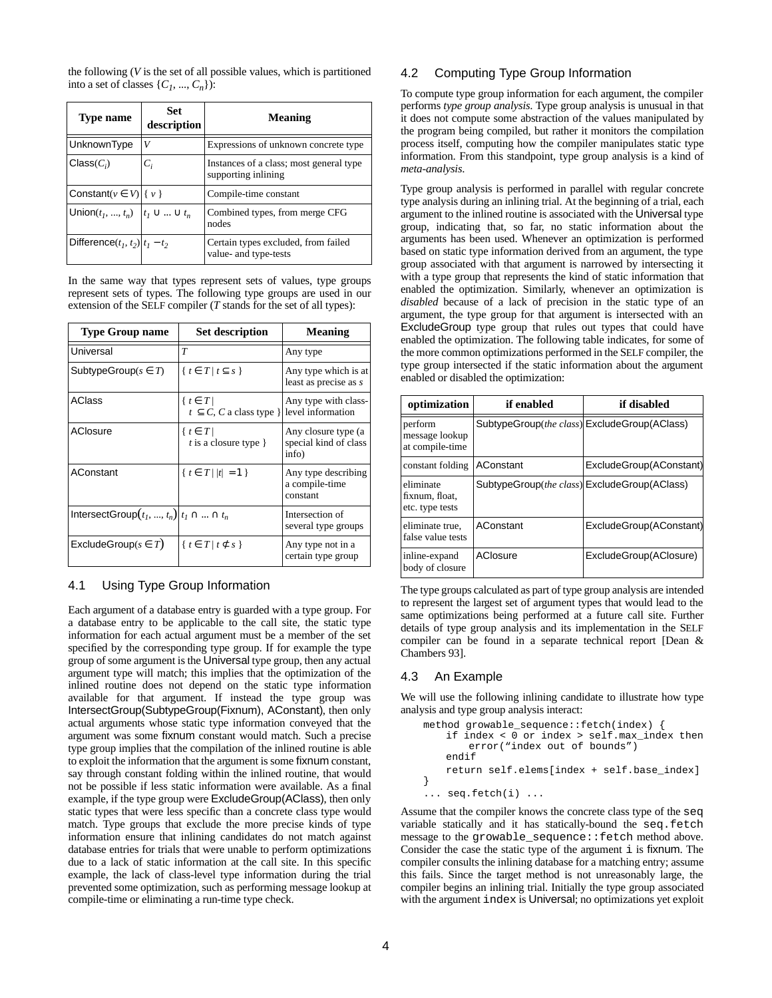the following (*V* is the set of all possible values, which is partitioned into a set of classes  $\{C_1, ..., C_n\}$ :

| Type name                                      | Set<br>description | <b>Meaning</b>                                                 |  |  |  |  |
|------------------------------------------------|--------------------|----------------------------------------------------------------|--|--|--|--|
| UnknownType                                    | V                  | Expressions of unknown concrete type                           |  |  |  |  |
| $Class(C_i)$                                   | $C_i$              | Instances of a class; most general type<br>supporting inlining |  |  |  |  |
| Constant( $v \in V$ ) { $v$ }                  |                    | Compile-time constant                                          |  |  |  |  |
| Union $(t_1, , t_n)$ $\mid t_1 \cup  \cup t_n$ |                    | Combined types, from merge CFG<br>nodes                        |  |  |  |  |
| Difference $(t_1, t_2)$ $t_1 - t_2$            |                    | Certain types excluded, from failed<br>value- and type-tests   |  |  |  |  |

In the same way that types represent sets of values, type groups represent sets of types. The following type groups are used in our extension of the SELF compiler (*T* stands for the set of all types):

| <b>Type Group name</b>                             | <b>Set description</b>                                                | <b>Meaning</b>                                        |
|----------------------------------------------------|-----------------------------------------------------------------------|-------------------------------------------------------|
| Universal                                          | T                                                                     | Any type                                              |
| SubtypeGroup( $s \in T$ )                          | $\{t \in T \mid t \subseteq s\}$                                      | Any type which is at<br>least as precise as s         |
| AClass                                             | $\{t \in T\}$<br>$t \subseteq C$ , C a class type } level information | Any type with class-                                  |
| AClosure                                           | $\{t \in T\}$<br>t is a closure type $\}$                             | Any closure type (a<br>special kind of class<br>info) |
| AConstant                                          | $\{t \in T    t  = 1 \}$                                              | Any type describing<br>a compile-time<br>constant     |
| IntersectGroup $(t_1, , t_n)   t_1 \cap  \cap t_n$ |                                                                       | Intersection of<br>several type groups                |
| ExcludeGroup( $s \in T$ )                          | $\{t \in T \mid t \subset s\}$                                        | Any type not in a<br>certain type group               |

### 4.1 Using Type Group Information

Each argument of a database entry is guarded with a type group. For a database entry to be applicable to the call site, the static type information for each actual argument must be a member of the set specified by the corresponding type group. If for example the type group of some argument is the Universal type group, then any actual argument type will match; this implies that the optimization of the inlined routine does not depend on the static type information available for that argument. If instead the type group was IntersectGroup(SubtypeGroup(Fixnum), AConstant), then only actual arguments whose static type information conveyed that the argument was some fixnum constant would match. Such a precise type group implies that the compilation of the inlined routine is able to exploit the information that the argument is some fixnum constant, say through constant folding within the inlined routine, that would not be possible if less static information were available. As a final example, if the type group were ExcludeGroup(AClass), then only static types that were less specific than a concrete class type would match. Type groups that exclude the more precise kinds of type information ensure that inlining candidates do not match against database entries for trials that were unable to perform optimizations due to a lack of static information at the call site. In this specific example, the lack of class-level type information during the trial prevented some optimization, such as performing message lookup at compile-time or eliminating a run-time type check.

### 4.2 Computing Type Group Information

To compute type group information for each argument, the compiler performs *type group analysis*. Type group analysis is unusual in that it does not compute some abstraction of the values manipulated by the program being compiled, but rather it monitors the compilation process itself, computing how the compiler manipulates static type information. From this standpoint, type group analysis is a kind of *meta-analysis*.

Type group analysis is performed in parallel with regular concrete type analysis during an inlining trial. At the beginning of a trial, each argument to the inlined routine is associated with the Universal type group, indicating that, so far, no static information about the arguments has been used. Whenever an optimization is performed based on static type information derived from an argument, the type group associated with that argument is narrowed by intersecting it with a type group that represents the kind of static information that enabled the optimization. Similarly, whenever an optimization is *disabled* because of a lack of precision in the static type of an argument, the type group for that argument is intersected with an ExcludeGroup type group that rules out types that could have enabled the optimization. The following table indicates, for some of the more common optimizations performed in the SELF compiler, the type group intersected if the static information about the argument enabled or disabled the optimization:

| optimization                                   | if enabled                                   | if disabled             |
|------------------------------------------------|----------------------------------------------|-------------------------|
| perform<br>message lookup<br>at compile-time   | SubtypeGroup(the class) ExcludeGroup(AClass) |                         |
| constant folding                               | AConstant                                    | ExcludeGroup(AConstant) |
| eliminate<br>fixnum, float,<br>etc. type tests | SubtypeGroup(the class) ExcludeGroup(AClass) |                         |
| eliminate true,<br>false value tests           | AConstant                                    | ExcludeGroup(AConstant) |
| inline-expand<br>body of closure               | AClosure                                     | ExcludeGroup(AClosure)  |

The type groups calculated as part of type group analysis are intended to represent the largest set of argument types that would lead to the same optimizations being performed at a future call site. Further details of type group analysis and its implementation in the SELF compiler can be found in a separate technical report [Dean & Chambers 93].

#### 4.3 An Example

We will use the following inlining candidate to illustrate how type analysis and type group analysis interact:

```
method growable_sequence::fetch(index) {
   if index < 0 or index > self.max_index then
       error("index out of bounds")
   endif
   return self.elems[index + self.base_index]
}
... seq.fetch(i) ...
```
Assume that the compiler knows the concrete class type of the seq variable statically and it has statically-bound the seq.fetch message to the growable\_sequence::fetch method above. Consider the case the static type of the argument i is fixnum. The compiler consults the inlining database for a matching entry; assume this fails. Since the target method is not unreasonably large, the compiler begins an inlining trial. Initially the type group associated with the argument index is Universal; no optimizations yet exploit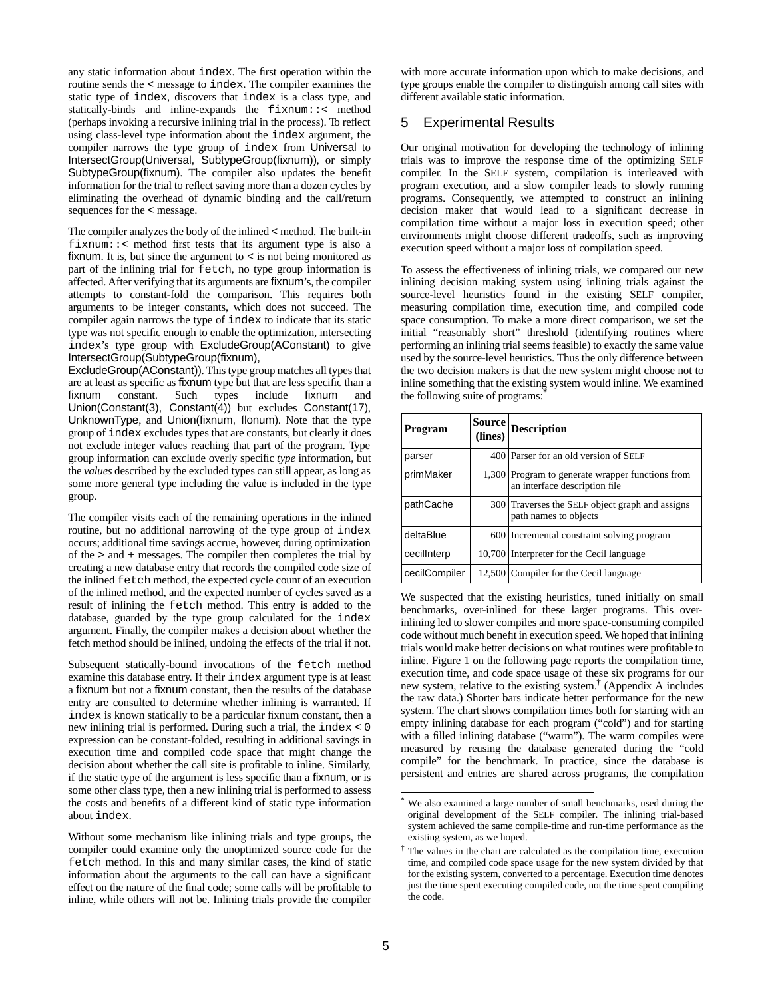any static information about index. The first operation within the routine sends the < message to index. The compiler examines the static type of index, discovers that index is a class type, and statically-binds and inline-expands the fixnum::< method (perhaps invoking a recursive inlining trial in the process). To reflect using class-level type information about the index argument, the compiler narrows the type group of index from Universal to IntersectGroup(Universal, SubtypeGroup(fixnum)), or simply SubtypeGroup(fixnum). The compiler also updates the benefit information for the trial to reflect saving more than a dozen cycles by eliminating the overhead of dynamic binding and the call/return sequences for the < message.

The compiler analyzes the body of the inlined < method. The built-in fixnum::< method first tests that its argument type is also a fixnum. It is, but since the argument to < is not being monitored as part of the inlining trial for fetch, no type group information is affected. After verifying that its arguments are fixnum's, the compiler attempts to constant-fold the comparison. This requires both arguments to be integer constants, which does not succeed. The compiler again narrows the type of index to indicate that its static type was not specific enough to enable the optimization, intersecting index's type group with ExcludeGroup(AConstant) to give IntersectGroup(SubtypeGroup(fixnum),

ExcludeGroup(AConstant)). This type group matches all types that are at least as specific as fixnum type but that are less specific than a fixnum constant. Such types include fixnum and Union(Constant(3), Constant(4)) but excludes Constant(17), UnknownType, and Union(fixnum, flonum). Note that the type group of index excludes types that are constants, but clearly it does not exclude integer values reaching that part of the program. Type group information can exclude overly specific *type* information, but the *values* described by the excluded types can still appear, as long as some more general type including the value is included in the type group.

The compiler visits each of the remaining operations in the inlined routine, but no additional narrowing of the type group of index occurs; additional time savings accrue, however, during optimization of the > and + messages. The compiler then completes the trial by creating a new database entry that records the compiled code size of the inlined fetch method, the expected cycle count of an execution of the inlined method, and the expected number of cycles saved as a result of inlining the fetch method. This entry is added to the database, guarded by the type group calculated for the index argument. Finally, the compiler makes a decision about whether the fetch method should be inlined, undoing the effects of the trial if not.

Subsequent statically-bound invocations of the fetch method examine this database entry. If their index argument type is at least a fixnum but not a fixnum constant, then the results of the database entry are consulted to determine whether inlining is warranted. If index is known statically to be a particular fixnum constant, then a new inlining trial is performed. During such a trial, the index < 0 expression can be constant-folded, resulting in additional savings in execution time and compiled code space that might change the decision about whether the call site is profitable to inline. Similarly, if the static type of the argument is less specific than a fixnum, or is some other class type, then a new inlining trial is performed to assess the costs and benefits of a different kind of static type information about index.

Without some mechanism like inlining trials and type groups, the compiler could examine only the unoptimized source code for the fetch method. In this and many similar cases, the kind of static information about the arguments to the call can have a significant effect on the nature of the final code; some calls will be profitable to inline, while others will not be. Inlining trials provide the compiler

with more accurate information upon which to make decisions, and type groups enable the compiler to distinguish among call sites with different available static information.

### 5 Experimental Results

Our original motivation for developing the technology of inlining trials was to improve the response time of the optimizing SELF compiler. In the SELF system, compilation is interleaved with program execution, and a slow compiler leads to slowly running programs. Consequently, we attempted to construct an inlining decision maker that would lead to a significant decrease in compilation time without a major loss in execution speed; other environments might choose different tradeoffs, such as improving execution speed without a major loss of compilation speed.

To assess the effectiveness of inlining trials, we compared our new inlining decision making system using inlining trials against the source-level heuristics found in the existing SELF compiler, measuring compilation time, execution time, and compiled code space consumption. To make a more direct comparison, we set the initial "reasonably short" threshold (identifying routines where performing an inlining trial seems feasible) to exactly the same value used by the source-level heuristics. Thus the only difference between the two decision makers is that the new system might choose not to inline something that the existing system would inline. We examined the following suite of programs:

| Program       | <b>Source</b><br>(lines) | <b>Description</b>                                                                |
|---------------|--------------------------|-----------------------------------------------------------------------------------|
| parser        |                          | 400 Parser for an old version of SELF                                             |
| primMaker     |                          | 1,300 Program to generate wrapper functions from<br>an interface description file |
| pathCache     |                          | 300 Traverses the SELF object graph and assigns<br>path names to objects          |
| deltaBlue     |                          | 600 Incremental constraint solving program                                        |
| cecillnterp   |                          | 10,700 Interpreter for the Cecil language                                         |
| cecilCompiler |                          | 12,500 Compiler for the Cecil language                                            |

We suspected that the existing heuristics, tuned initially on small benchmarks, over-inlined for these larger programs. This overinlining led to slower compiles and more space-consuming compiled code without much benefit in execution speed. We hoped that inlining trials would make better decisions on what routines were profitable to inline. Figure 1 on the following page reports the compilation time, execution time, and code space usage of these six programs for our new system, relative to the existing system.† (Appendix A includes the raw data.) Shorter bars indicate better performance for the new system. The chart shows compilation times both for starting with an empty inlining database for each program ("cold") and for starting with a filled inlining database ("warm"). The warm compiles were measured by reusing the database generated during the "cold compile" for the benchmark. In practice, since the database is persistent and entries are shared across programs, the compilation

<sup>\*</sup> We also examined a large number of small benchmarks, used during the original development of the SELF compiler. The inlining trial-based system achieved the same compile-time and run-time performance as the existing system, as we hoped.

<sup>†</sup> The values in the chart are calculated as the compilation time, execution time, and compiled code space usage for the new system divided by that for the existing system, converted to a percentage. Execution time denotes just the time spent executing compiled code, not the time spent compiling the code.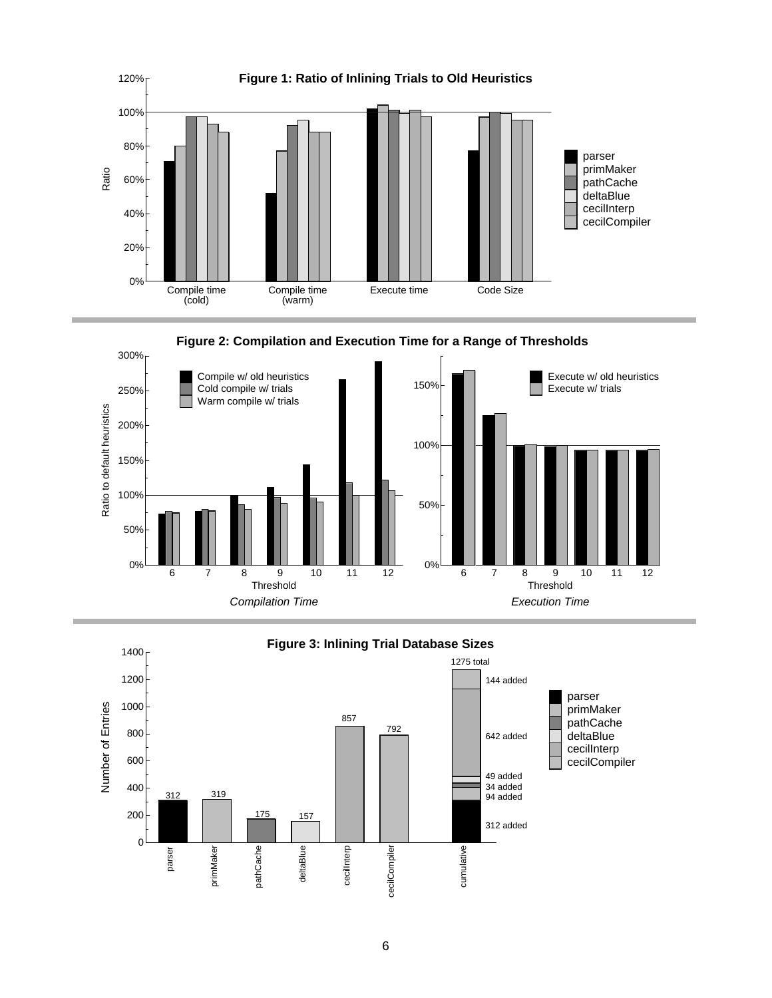





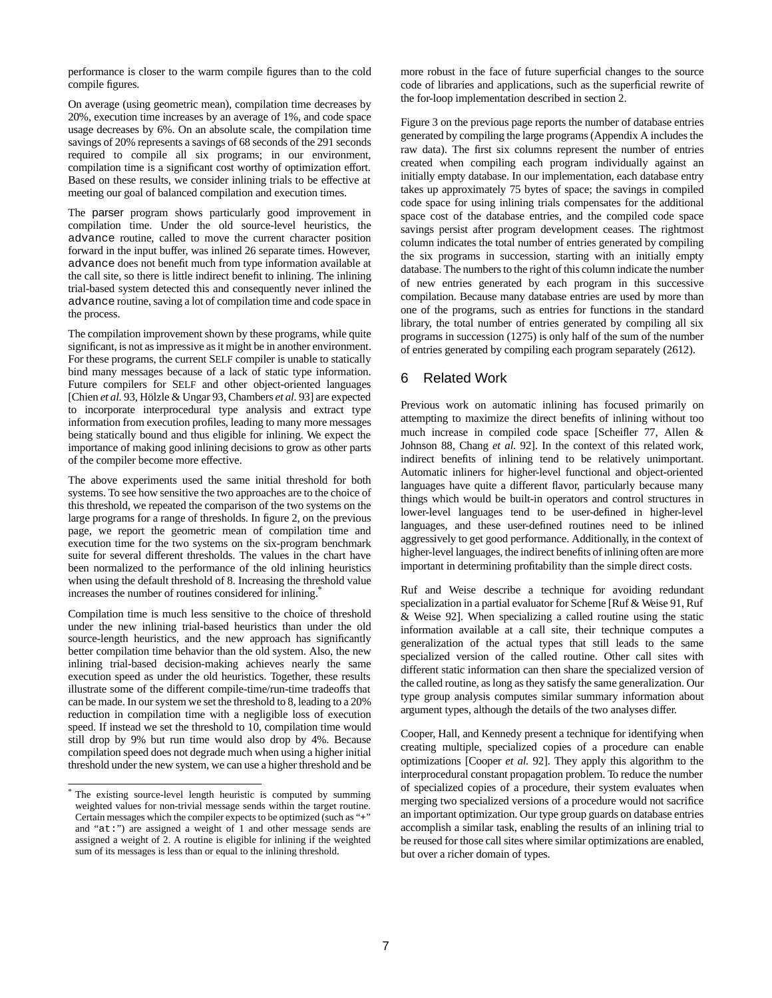performance is closer to the warm compile figures than to the cold compile figures.

On average (using geometric mean), compilation time decreases by 20%, execution time increases by an average of 1%, and code space usage decreases by 6%. On an absolute scale, the compilation time savings of 20% represents a savings of 68 seconds of the 291 seconds required to compile all six programs; in our environment, compilation time is a significant cost worthy of optimization effort. Based on these results, we consider inlining trials to be effective at meeting our goal of balanced compilation and execution times.

The parser program shows particularly good improvement in compilation time. Under the old source-level heuristics, the advance routine, called to move the current character position forward in the input buffer, was inlined 26 separate times. However, advance does not benefit much from type information available at the call site, so there is little indirect benefit to inlining. The inlining trial-based system detected this and consequently never inlined the advance routine, saving a lot of compilation time and code space in the process.

The compilation improvement shown by these programs, while quite significant, is not as impressive as it might be in another environment. For these programs, the current SELF compiler is unable to statically bind many messages because of a lack of static type information. Future compilers for SELF and other object-oriented languages [Chien *et al.* 93, Hölzle & Ungar 93, Chambers *et al.* 93] are expected to incorporate interprocedural type analysis and extract type information from execution profiles, leading to many more messages being statically bound and thus eligible for inlining. We expect the importance of making good inlining decisions to grow as other parts of the compiler become more effective.

The above experiments used the same initial threshold for both systems. To see how sensitive the two approaches are to the choice of this threshold, we repeated the comparison of the two systems on the large programs for a range of thresholds. In figure 2, on the previous page, we report the geometric mean of compilation time and execution time for the two systems on the six-program benchmark suite for several different thresholds. The values in the chart have been normalized to the performance of the old inlining heuristics when using the default threshold of 8. Increasing the threshold value increases the number of routines considered for inlining.<sup>\*</sup>

Compilation time is much less sensitive to the choice of threshold under the new inlining trial-based heuristics than under the old source-length heuristics, and the new approach has significantly better compilation time behavior than the old system. Also, the new inlining trial-based decision-making achieves nearly the same execution speed as under the old heuristics. Together, these results illustrate some of the different compile-time/run-time tradeoffs that can be made. In our system we set the threshold to 8, leading to a 20% reduction in compilation time with a negligible loss of execution speed. If instead we set the threshold to 10, compilation time would still drop by 9% but run time would also drop by 4%. Because compilation speed does not degrade much when using a higher initial threshold under the new system, we can use a higher threshold and be more robust in the face of future superficial changes to the source code of libraries and applications, such as the superficial rewrite of the for-loop implementation described in section 2.

Figure 3 on the previous page reports the number of database entries generated by compiling the large programs (Appendix A includes the raw data). The first six columns represent the number of entries created when compiling each program individually against an initially empty database. In our implementation, each database entry takes up approximately 75 bytes of space; the savings in compiled code space for using inlining trials compensates for the additional space cost of the database entries, and the compiled code space savings persist after program development ceases. The rightmost column indicates the total number of entries generated by compiling the six programs in succession, starting with an initially empty database. The numbers to the right of this column indicate the number of new entries generated by each program in this successive compilation. Because many database entries are used by more than one of the programs, such as entries for functions in the standard library, the total number of entries generated by compiling all six programs in succession (1275) is only half of the sum of the number of entries generated by compiling each program separately (2612).

## 6 Related Work

Previous work on automatic inlining has focused primarily on attempting to maximize the direct benefits of inlining without too much increase in compiled code space [Scheifler 77, Allen & Johnson 88, Chang *et al.* 92]. In the context of this related work, indirect benefits of inlining tend to be relatively unimportant. Automatic inliners for higher-level functional and object-oriented languages have quite a different flavor, particularly because many things which would be built-in operators and control structures in lower-level languages tend to be user-defined in higher-level languages, and these user-defined routines need to be inlined aggressively to get good performance. Additionally, in the context of higher-level languages, the indirect benefits of inlining often are more important in determining profitability than the simple direct costs.

Ruf and Weise describe a technique for avoiding redundant specialization in a partial evaluator for Scheme [Ruf & Weise 91, Ruf & Weise 92]. When specializing a called routine using the static information available at a call site, their technique computes a generalization of the actual types that still leads to the same specialized version of the called routine. Other call sites with different static information can then share the specialized version of the called routine, as long as they satisfy the same generalization. Our type group analysis computes similar summary information about argument types, although the details of the two analyses differ.

Cooper, Hall, and Kennedy present a technique for identifying when creating multiple, specialized copies of a procedure can enable optimizations [Cooper *et al.* 92]. They apply this algorithm to the interprocedural constant propagation problem. To reduce the number of specialized copies of a procedure, their system evaluates when merging two specialized versions of a procedure would not sacrifice an important optimization. Our type group guards on database entries accomplish a similar task, enabling the results of an inlining trial to be reused for those call sites where similar optimizations are enabled, but over a richer domain of types.

The existing source-level length heuristic is computed by summing weighted values for non-trivial message sends within the target routine. Certain messages which the compiler expects to be optimized (such as "+" and "at:") are assigned a weight of 1 and other message sends are assigned a weight of 2. A routine is eligible for inlining if the weighted sum of its messages is less than or equal to the inlining threshold.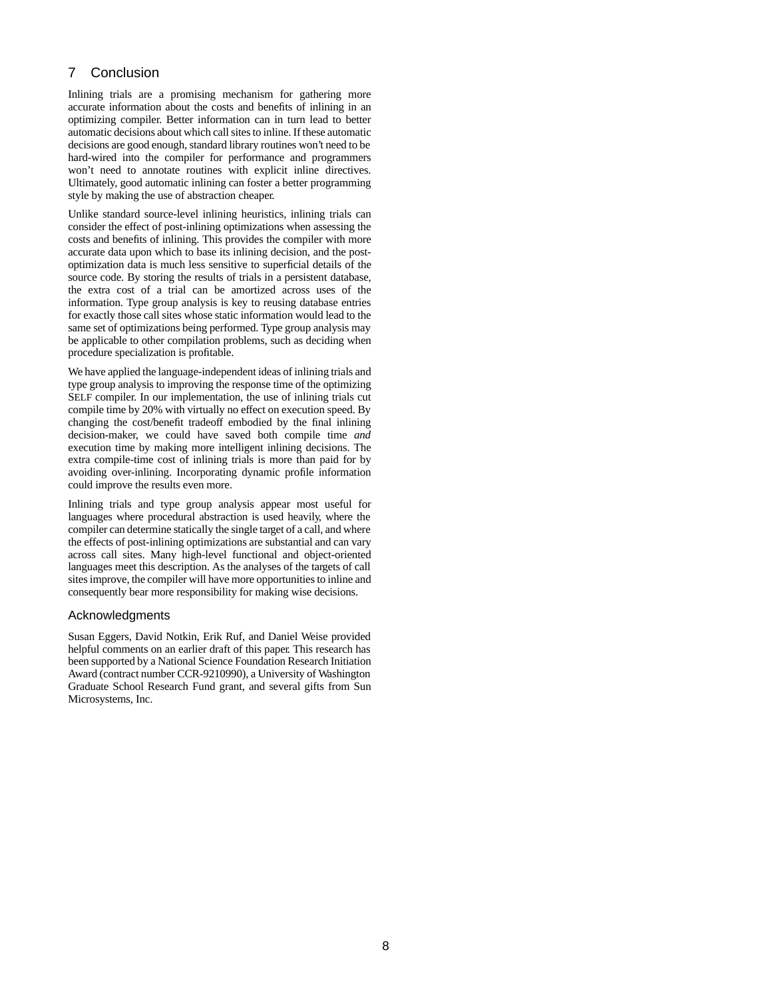## 7 Conclusion

Inlining trials are a promising mechanism for gathering more accurate information about the costs and benefits of inlining in an optimizing compiler. Better information can in turn lead to better automatic decisions about which call sites to inline. If these automatic decisions are good enough, standard library routines won't need to be hard-wired into the compiler for performance and programmers won't need to annotate routines with explicit inline directives. Ultimately, good automatic inlining can foster a better programming style by making the use of abstraction cheaper.

Unlike standard source-level inlining heuristics, inlining trials can consider the effect of post-inlining optimizations when assessing the costs and benefits of inlining. This provides the compiler with more accurate data upon which to base its inlining decision, and the postoptimization data is much less sensitive to superficial details of the source code. By storing the results of trials in a persistent database, the extra cost of a trial can be amortized across uses of the information. Type group analysis is key to reusing database entries for exactly those call sites whose static information would lead to the same set of optimizations being performed. Type group analysis may be applicable to other compilation problems, such as deciding when procedure specialization is profitable.

We have applied the language-independent ideas of inlining trials and type group analysis to improving the response time of the optimizing SELF compiler. In our implementation, the use of inlining trials cut compile time by 20% with virtually no effect on execution speed. By changing the cost/benefit tradeoff embodied by the final inlining decision-maker, we could have saved both compile time *and* execution time by making more intelligent inlining decisions. The extra compile-time cost of inlining trials is more than paid for by avoiding over-inlining. Incorporating dynamic profile information could improve the results even more.

Inlining trials and type group analysis appear most useful for languages where procedural abstraction is used heavily, where the compiler can determine statically the single target of a call, and where the effects of post-inlining optimizations are substantial and can vary across call sites. Many high-level functional and object-oriented languages meet this description. As the analyses of the targets of call sites improve, the compiler will have more opportunities to inline and consequently bear more responsibility for making wise decisions.

#### Acknowledgments

Susan Eggers, David Notkin, Erik Ruf, and Daniel Weise provided helpful comments on an earlier draft of this paper. This research has been supported by a National Science Foundation Research Initiation Award (contract number CCR-9210990), a University of Washington Graduate School Research Fund grant, and several gifts from Sun Microsystems, Inc.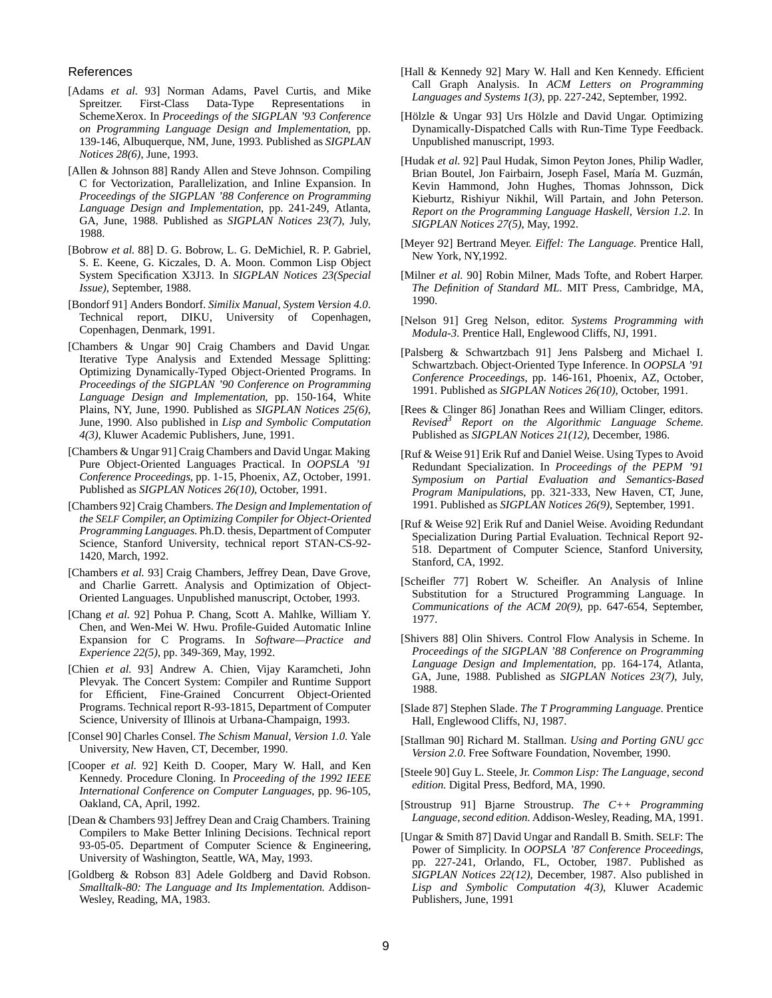#### References

- [Adams *et al.* 93] Norman Adams, Pavel Curtis, and Mike Spreitzer. First-Class Data-Type Representations in SchemeXerox. In *Proceedings of the SIGPLAN '93 Conference on Programming Language Design and Implementation*, pp. 139-146, Albuquerque, NM, June, 1993. Published as *SIGPLAN Notices 28(6)*, June, 1993.
- [Allen & Johnson 88] Randy Allen and Steve Johnson. Compiling C for Vectorization, Parallelization, and Inline Expansion. In *Proceedings of the SIGPLAN '88 Conference on Programming Language Design and Implementation*, pp. 241-249, Atlanta, GA, June, 1988. Published as *SIGPLAN Notices 23(7)*, July, 1988.
- [Bobrow *et al.* 88] D. G. Bobrow, L. G. DeMichiel, R. P. Gabriel, S. E. Keene, G. Kiczales, D. A. Moon. Common Lisp Object System Specification X3J13. In *SIGPLAN Notices 23(Special Issue)*, September, 1988.
- [Bondorf 91] Anders Bondorf. *Similix Manual, System Version 4.0*. Technical report, DIKU, University of Copenhagen, Copenhagen, Denmark, 1991.
- [Chambers & Ungar 90] Craig Chambers and David Ungar. Iterative Type Analysis and Extended Message Splitting: Optimizing Dynamically-Typed Object-Oriented Programs. In *Proceedings of the SIGPLAN '90 Conference on Programming Language Design and Implementation*, pp. 150-164, White Plains, NY, June, 1990. Published as *SIGPLAN Notices 25(6)*, June, 1990. Also published in *Lisp and Symbolic Computation 4(3)*, Kluwer Academic Publishers, June, 1991.
- [Chambers & Ungar 91] Craig Chambers and David Ungar. Making Pure Object-Oriented Languages Practical. In *OOPSLA '91 Conference Proceedings*, pp. 1-15, Phoenix, AZ, October, 1991. Published as *SIGPLAN Notices 26(10)*, October, 1991.
- [Chambers 92] Craig Chambers. *The Design and Implementation of the SELF Compiler, an Optimizing Compiler for Object-Oriented Programming Languages*. Ph.D. thesis, Department of Computer Science, Stanford University, technical report STAN-CS-92- 1420, March, 1992.
- [Chambers *et al.* 93] Craig Chambers, Jeffrey Dean, Dave Grove, and Charlie Garrett. Analysis and Optimization of Object-Oriented Languages. Unpublished manuscript, October, 1993.
- [Chang *et al.* 92] Pohua P. Chang, Scott A. Mahlke, William Y. Chen, and Wen-Mei W. Hwu. Profile-Guided Automatic Inline Expansion for C Programs. In *Software—Practice and Experience 22(5)*, pp. 349-369, May, 1992.
- [Chien *et al.* 93] Andrew A. Chien, Vijay Karamcheti, John Plevyak. The Concert System: Compiler and Runtime Support for Efficient, Fine-Grained Concurrent Object-Oriented Programs. Technical report R-93-1815, Department of Computer Science, University of Illinois at Urbana-Champaign, 1993.
- [Consel 90] Charles Consel. *The Schism Manual, Version 1.0*. Yale University, New Haven, CT, December, 1990.
- [Cooper *et al.* 92] Keith D. Cooper, Mary W. Hall, and Ken Kennedy. Procedure Cloning. In *Proceeding of the 1992 IEEE International Conference on Computer Languages*, pp. 96-105, Oakland, CA, April, 1992.
- [Dean & Chambers 93] Jeffrey Dean and Craig Chambers. Training Compilers to Make Better Inlining Decisions. Technical report 93-05-05. Department of Computer Science & Engineering, University of Washington, Seattle, WA, May, 1993.
- [Goldberg & Robson 83] Adele Goldberg and David Robson. *Smalltalk-80: The Language and Its Implementation*. Addison-Wesley, Reading, MA, 1983.
- [Hall & Kennedy 92] Mary W. Hall and Ken Kennedy. Efficient Call Graph Analysis. In *ACM Letters on Programming Languages and Systems 1(3)*, pp. 227-242, September, 1992.
- [Hölzle & Ungar 93] Urs Hölzle and David Ungar. Optimizing Dynamically-Dispatched Calls with Run-Time Type Feedback. Unpublished manuscript, 1993.
- [Hudak *et al.* 92] Paul Hudak, Simon Peyton Jones, Philip Wadler, Brian Boutel, Jon Fairbairn, Joseph Fasel, María M. Guzmán, Kevin Hammond, John Hughes, Thomas Johnsson, Dick Kieburtz, Rishiyur Nikhil, Will Partain, and John Peterson. *Report on the Programming Language Haskell, Version 1.2*. In *SIGPLAN Notices 27(5)*, May, 1992.
- [Meyer 92] Bertrand Meyer. *Eiffel: The Language*. Prentice Hall, New York, NY,1992.
- [Milner *et al.* 90] Robin Milner, Mads Tofte, and Robert Harper. *The Definition of Standard ML*. MIT Press, Cambridge, MA, 1990.
- [Nelson 91] Greg Nelson, editor. *Systems Programming with Modula-3*. Prentice Hall, Englewood Cliffs, NJ, 1991.
- [Palsberg & Schwartzbach 91] Jens Palsberg and Michael I. Schwartzbach. Object-Oriented Type Inference. In *OOPSLA '91 Conference Proceedings*, pp. 146-161, Phoenix, AZ, October, 1991. Published as *SIGPLAN Notices 26(10)*, October, 1991.
- [Rees & Clinger 86] Jonathan Rees and William Clinger, editors. *Revised<sup>3</sup> Report on the Algorithmic Language Scheme*. Published as *SIGPLAN Notices 21(12)*, December, 1986.
- [Ruf & Weise 91] Erik Ruf and Daniel Weise. Using Types to Avoid Redundant Specialization. In *Proceedings of the PEPM '91 Symposium on Partial Evaluation and Semantics-Based Program Manipulation*s, pp. 321-333, New Haven, CT, June, 1991. Published as *SIGPLAN Notices 26(9)*, September, 1991.
- [Ruf & Weise 92] Erik Ruf and Daniel Weise. Avoiding Redundant Specialization During Partial Evaluation. Technical Report 92- 518. Department of Computer Science, Stanford University, Stanford, CA, 1992.
- [Scheifler 77] Robert W. Scheifler. An Analysis of Inline Substitution for a Structured Programming Language. In *Communications of the ACM 20(9)*, pp. 647-654, September, 1977.
- [Shivers 88] Olin Shivers. Control Flow Analysis in Scheme. In *Proceedings of the SIGPLAN '88 Conference on Programming Language Design and Implementation*, pp. 164-174, Atlanta, GA, June, 1988. Published as *SIGPLAN Notices 23(7)*, July, 1988.
- [Slade 87] Stephen Slade. *The T Programming Language*. Prentice Hall, Englewood Cliffs, NJ, 1987.
- [Stallman 90] Richard M. Stallman. *Using and Porting GNU gcc Version 2.0*. Free Software Foundation, November, 1990.
- [Steele 90] Guy L. Steele, Jr. *Common Lisp: The Language, second edition.* Digital Press, Bedford, MA, 1990.
- [Stroustrup 91] Bjarne Stroustrup. *The C++ Programming Language, second edition*. Addison-Wesley, Reading, MA, 1991.
- [Ungar & Smith 87] David Ungar and Randall B. Smith. SELF: The Power of Simplicity. In *OOPSLA '87 Conference Proceedings*, pp. 227-241, Orlando, FL, October, 1987. Published as *SIGPLAN Notices 22(12)*, December, 1987. Also published in *Lisp and Symbolic Computation 4(3)*, Kluwer Academic Publishers, June, 1991